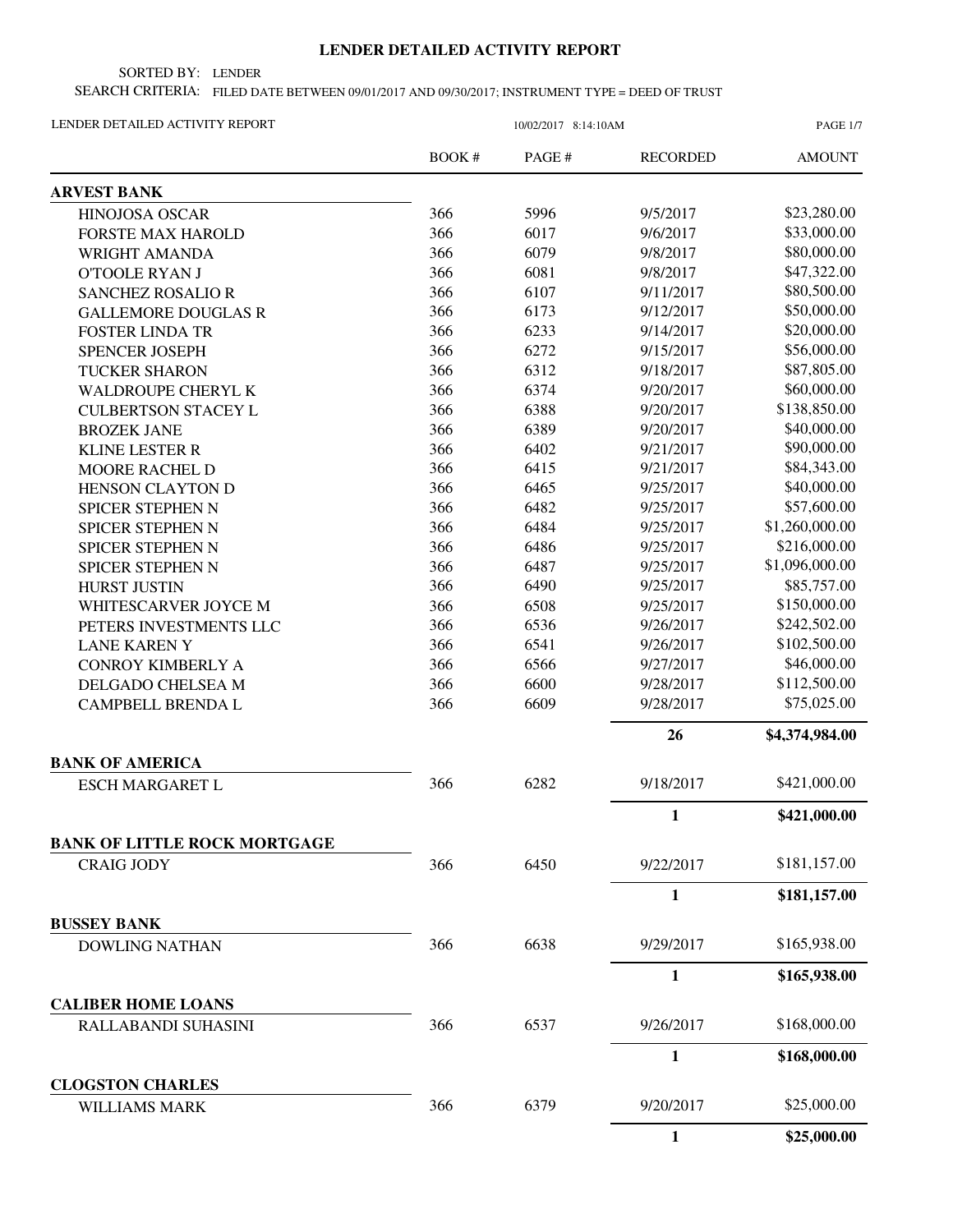## **LENDER DETAILED ACTIVITY REPORT**

SORTED BY: LENDER

SEARCH CRITERIA: FILED DATE BETWEEN 09/01/2017 AND 09/30/2017; INSTRUMENT TYPE = DEED OF TRUST

| LENDER DETAILED ACTIVITY REPORT                          |       | 10/02/2017 8:14:10AM |                 | <b>PAGE 1/7</b> |  |
|----------------------------------------------------------|-------|----------------------|-----------------|-----------------|--|
|                                                          | BOOK# | PAGE#                | <b>RECORDED</b> | <b>AMOUNT</b>   |  |
| <b>ARVEST BANK</b>                                       |       |                      |                 |                 |  |
| HINOJOSA OSCAR                                           | 366   | 5996                 | 9/5/2017        | \$23,280.00     |  |
| <b>FORSTE MAX HAROLD</b>                                 | 366   | 6017                 | 9/6/2017        | \$33,000.00     |  |
| WRIGHT AMANDA                                            | 366   | 6079                 | 9/8/2017        | \$80,000.00     |  |
| <b>O'TOOLE RYAN J</b>                                    | 366   | 6081                 | 9/8/2017        | \$47,322.00     |  |
| <b>SANCHEZ ROSALIO R</b>                                 | 366   | 6107                 | 9/11/2017       | \$80,500.00     |  |
| <b>GALLEMORE DOUGLAS R</b>                               | 366   | 6173                 | 9/12/2017       | \$50,000.00     |  |
| <b>FOSTER LINDA TR</b>                                   | 366   | 6233                 | 9/14/2017       | \$20,000.00     |  |
| <b>SPENCER JOSEPH</b>                                    | 366   | 6272                 | 9/15/2017       | \$56,000.00     |  |
| <b>TUCKER SHARON</b>                                     | 366   | 6312                 | 9/18/2017       | \$87,805.00     |  |
| <b>WALDROUPE CHERYL K</b>                                | 366   | 6374                 | 9/20/2017       | \$60,000.00     |  |
| <b>CULBERTSON STACEY L</b>                               | 366   | 6388                 | 9/20/2017       | \$138,850.00    |  |
| <b>BROZEK JANE</b>                                       | 366   | 6389                 | 9/20/2017       | \$40,000.00     |  |
| <b>KLINE LESTER R</b>                                    | 366   | 6402                 | 9/21/2017       | \$90,000.00     |  |
| <b>MOORE RACHEL D</b>                                    | 366   | 6415                 | 9/21/2017       | \$84,343.00     |  |
| HENSON CLAYTON D                                         | 366   | 6465                 | 9/25/2017       | \$40,000.00     |  |
| SPICER STEPHEN N                                         | 366   | 6482                 | 9/25/2017       | \$57,600.00     |  |
| SPICER STEPHEN N                                         | 366   | 6484                 | 9/25/2017       | \$1,260,000.00  |  |
| SPICER STEPHEN N                                         | 366   | 6486                 | 9/25/2017       | \$216,000.00    |  |
| SPICER STEPHEN N                                         | 366   | 6487                 | 9/25/2017       | \$1,096,000.00  |  |
| <b>HURST JUSTIN</b>                                      | 366   | 6490                 | 9/25/2017       | \$85,757.00     |  |
| WHITESCARVER JOYCE M                                     | 366   | 6508                 | 9/25/2017       | \$150,000.00    |  |
| PETERS INVESTMENTS LLC                                   | 366   | 6536                 | 9/26/2017       | \$242,502.00    |  |
| <b>LANE KAREN Y</b>                                      | 366   | 6541                 | 9/26/2017       | \$102,500.00    |  |
| <b>CONROY KIMBERLY A</b>                                 | 366   | 6566                 | 9/27/2017       | \$46,000.00     |  |
| DELGADO CHELSEA M                                        | 366   | 6600                 | 9/28/2017       | \$112,500.00    |  |
| <b>CAMPBELL BRENDA L</b>                                 | 366   | 6609                 | 9/28/2017       | \$75,025.00     |  |
|                                                          |       |                      | 26              | \$4,374,984.00  |  |
| <b>BANK OF AMERICA</b>                                   |       |                      |                 |                 |  |
| <b>ESCH MARGARET L</b>                                   | 366   | 6282                 | 9/18/2017       | \$421,000.00    |  |
|                                                          |       |                      | 1               | \$421,000.00    |  |
| <b>BANK OF LITTLE ROCK MORTGAGE</b><br><b>CRAIG JODY</b> | 366   | 6450                 | 9/22/2017       | \$181,157.00    |  |
|                                                          |       |                      | $\mathbf{1}$    | \$181,157.00    |  |
| <b>BUSSEY BANK</b>                                       |       |                      |                 |                 |  |
| <b>DOWLING NATHAN</b>                                    | 366   | 6638                 | 9/29/2017       | \$165,938.00    |  |
|                                                          |       |                      | $\mathbf{1}$    | \$165,938.00    |  |
| <b>CALIBER HOME LOANS</b>                                |       |                      |                 |                 |  |
| RALLABANDI SUHASINI                                      | 366   | 6537                 | 9/26/2017       | \$168,000.00    |  |
|                                                          |       |                      | 1               | \$168,000.00    |  |
| <b>CLOGSTON CHARLES</b>                                  | 366   | 6379                 | 9/20/2017       | \$25,000.00     |  |
| WILLIAMS MARK                                            |       |                      | 1               | \$25,000.00     |  |
|                                                          |       |                      |                 |                 |  |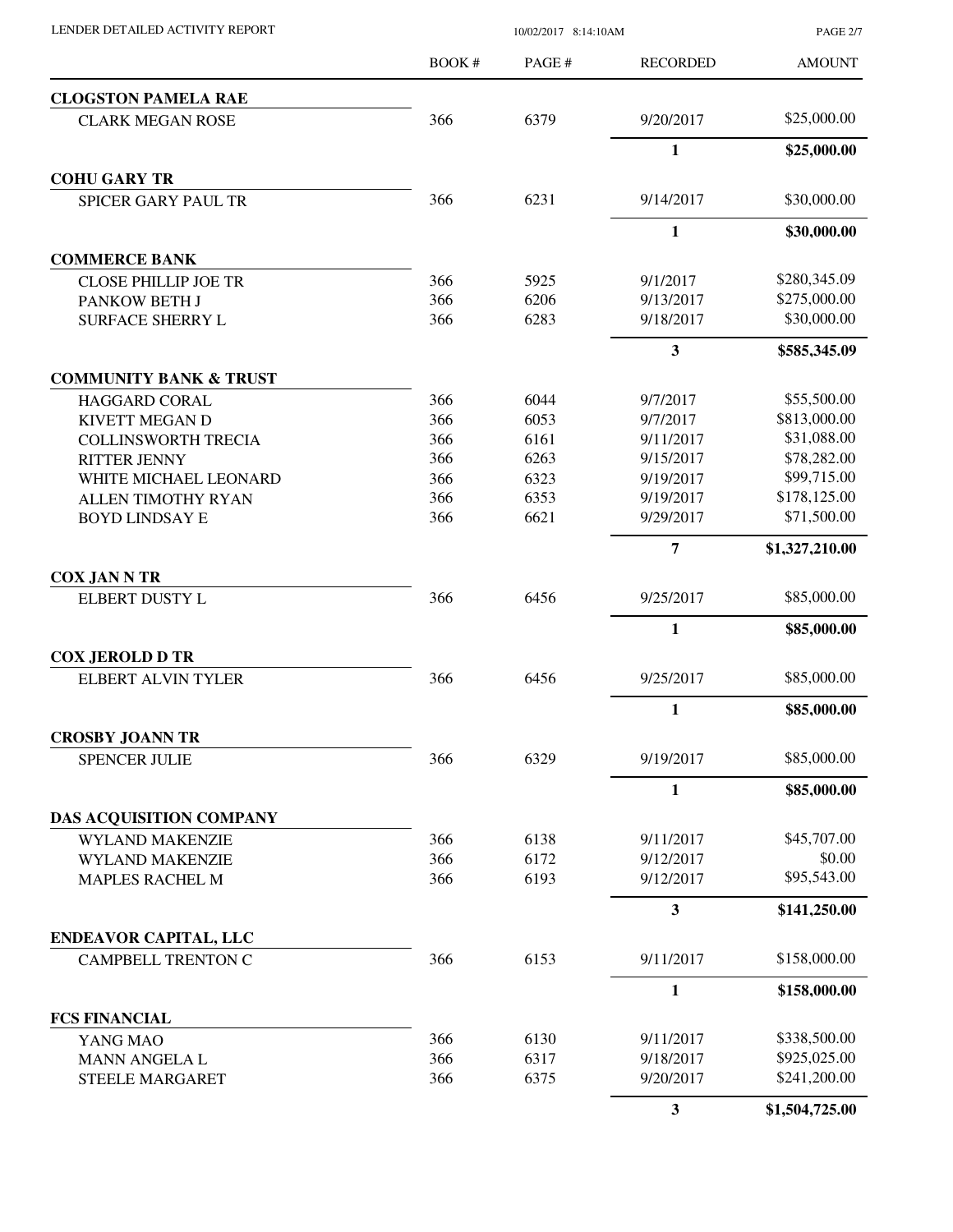| LENDER DETAILED ACTIVITY REPORT |  |
|---------------------------------|--|
|                                 |  |

10/02/2017 8:14:10AM

PAGE 2/7

|                                   | <b>BOOK#</b> | PAGE# | <b>RECORDED</b> | <b>AMOUNT</b>  |
|-----------------------------------|--------------|-------|-----------------|----------------|
| <b>CLOGSTON PAMELA RAE</b>        |              |       |                 |                |
| <b>CLARK MEGAN ROSE</b>           | 366          | 6379  | 9/20/2017       | \$25,000.00    |
|                                   |              |       | $\mathbf{1}$    | \$25,000.00    |
| <b>COHU GARY TR</b>               |              |       |                 |                |
| <b>SPICER GARY PAUL TR</b>        | 366          | 6231  | 9/14/2017       | \$30,000.00    |
|                                   |              |       | $\mathbf{1}$    | \$30,000.00    |
| <b>COMMERCE BANK</b>              |              |       |                 |                |
| <b>CLOSE PHILLIP JOE TR</b>       | 366          | 5925  | 9/1/2017        | \$280,345.09   |
| PANKOW BETH J                     | 366          | 6206  | 9/13/2017       | \$275,000.00   |
| <b>SURFACE SHERRY L</b>           | 366          | 6283  | 9/18/2017       | \$30,000.00    |
|                                   |              |       | 3               | \$585,345.09   |
| <b>COMMUNITY BANK &amp; TRUST</b> |              |       |                 |                |
| <b>HAGGARD CORAL</b>              | 366          | 6044  | 9/7/2017        | \$55,500.00    |
| KIVETT MEGAN D                    | 366          | 6053  | 9/7/2017        | \$813,000.00   |
| <b>COLLINSWORTH TRECIA</b>        | 366          | 6161  | 9/11/2017       | \$31,088.00    |
| <b>RITTER JENNY</b>               | 366          | 6263  | 9/15/2017       | \$78,282.00    |
| WHITE MICHAEL LEONARD             | 366          | 6323  | 9/19/2017       | \$99,715.00    |
| <b>ALLEN TIMOTHY RYAN</b>         | 366          | 6353  | 9/19/2017       | \$178,125.00   |
| <b>BOYD LINDSAY E</b>             | 366          | 6621  | 9/29/2017       | \$71,500.00    |
|                                   |              |       | $\overline{7}$  | \$1,327,210.00 |
| <b>COX JAN N TR</b>               |              |       |                 |                |
| ELBERT DUSTY L                    | 366          | 6456  | 9/25/2017       | \$85,000.00    |
|                                   |              |       | $\mathbf{1}$    | \$85,000.00    |
| <b>COX JEROLD D TR</b>            |              |       |                 |                |
| <b>ELBERT ALVIN TYLER</b>         | 366          | 6456  | 9/25/2017       | \$85,000.00    |
|                                   |              |       | $\mathbf{1}$    | \$85,000.00    |
| <b>CROSBY JOANN TR</b>            |              |       |                 |                |
| <b>SPENCER JULIE</b>              | 366          | 6329  | 9/19/2017       | \$85,000.00    |
|                                   |              |       | $\mathbf{1}$    | \$85,000.00    |
| DAS ACQUISITION COMPANY           |              |       |                 |                |
| <b>WYLAND MAKENZIE</b>            | 366          | 6138  | 9/11/2017       | \$45,707.00    |
| WYLAND MAKENZIE                   | 366          | 6172  | 9/12/2017       | \$0.00         |
| <b>MAPLES RACHEL M</b>            | 366          | 6193  | 9/12/2017       | \$95,543.00    |
|                                   |              |       | $\mathbf{3}$    | \$141,250.00   |
| <b>ENDEAVOR CAPITAL, LLC</b>      |              |       |                 |                |
| <b>CAMPBELL TRENTON C</b>         | 366          | 6153  | 9/11/2017       | \$158,000.00   |
|                                   |              |       | $\mathbf{1}$    | \$158,000.00   |
| <b>FCS FINANCIAL</b>              |              |       |                 |                |
| YANG MAO                          | 366          | 6130  | 9/11/2017       | \$338,500.00   |
| MANN ANGELA L                     | 366          | 6317  | 9/18/2017       | \$925,025.00   |
| <b>STEELE MARGARET</b>            | 366          | 6375  | 9/20/2017       | \$241,200.00   |
|                                   |              |       | $\mathbf{3}$    | \$1,504,725.00 |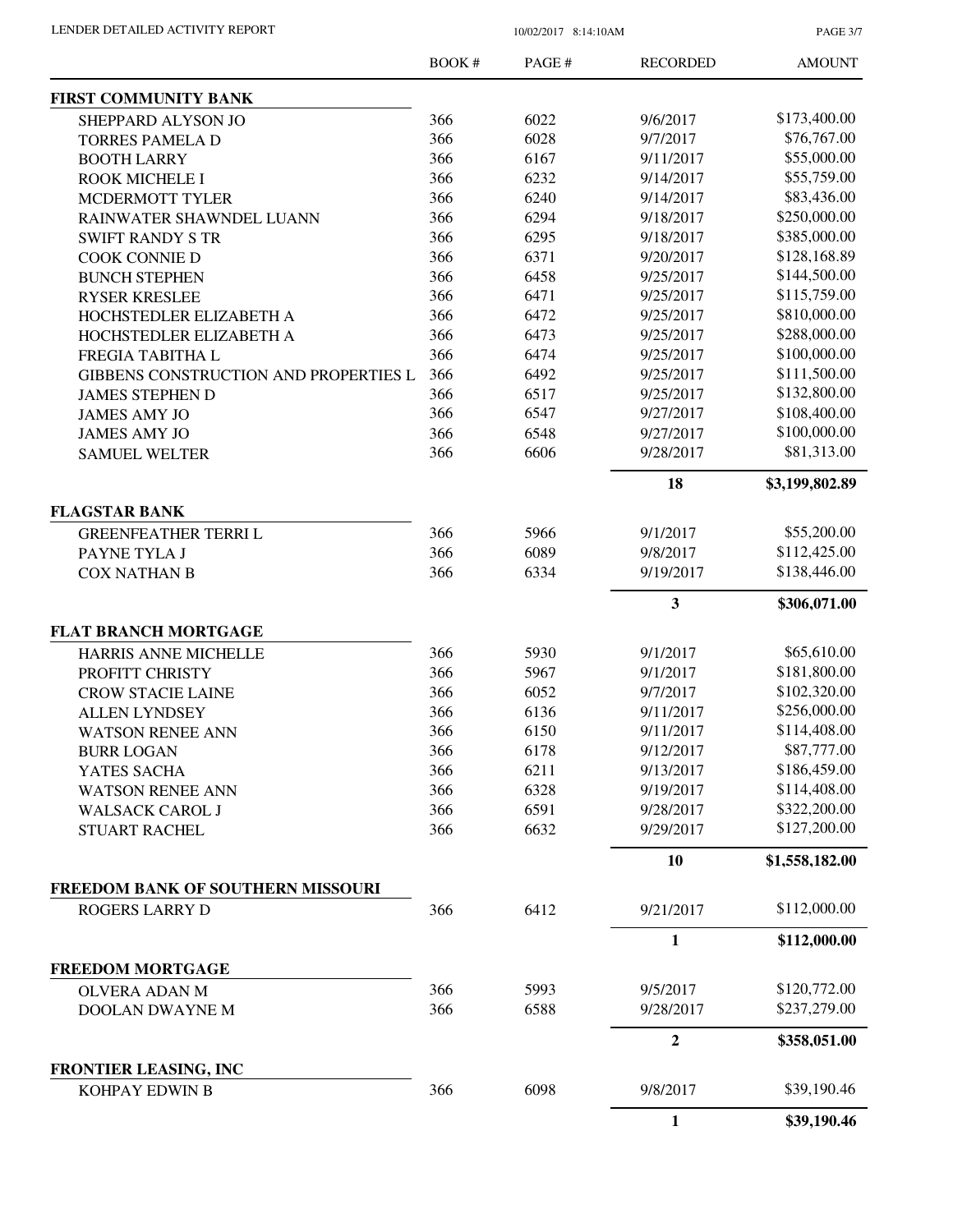PAGE 3/7

|                                              | <b>BOOK#</b> | PAGE# | <b>RECORDED</b> | <b>AMOUNT</b>  |
|----------------------------------------------|--------------|-------|-----------------|----------------|
| <b>FIRST COMMUNITY BANK</b>                  |              |       |                 |                |
| SHEPPARD ALYSON JO                           | 366          | 6022  | 9/6/2017        | \$173,400.00   |
| <b>TORRES PAMELA D</b>                       | 366          | 6028  | 9/7/2017        | \$76,767.00    |
| <b>BOOTH LARRY</b>                           | 366          | 6167  | 9/11/2017       | \$55,000.00    |
| ROOK MICHELE I                               | 366          | 6232  | 9/14/2017       | \$55,759.00    |
| MCDERMOTT TYLER                              | 366          | 6240  | 9/14/2017       | \$83,436.00    |
| RAINWATER SHAWNDEL LUANN                     | 366          | 6294  | 9/18/2017       | \$250,000.00   |
| <b>SWIFT RANDY S TR</b>                      | 366          | 6295  | 9/18/2017       | \$385,000.00   |
| <b>COOK CONNIE D</b>                         | 366          | 6371  | 9/20/2017       | \$128,168.89   |
| <b>BUNCH STEPHEN</b>                         | 366          | 6458  | 9/25/2017       | \$144,500.00   |
| <b>RYSER KRESLEE</b>                         | 366          | 6471  | 9/25/2017       | \$115,759.00   |
| HOCHSTEDLER ELIZABETH A                      | 366          | 6472  | 9/25/2017       | \$810,000.00   |
| HOCHSTEDLER ELIZABETH A                      | 366          | 6473  | 9/25/2017       | \$288,000.00   |
| FREGIA TABITHA L                             | 366          | 6474  | 9/25/2017       | \$100,000.00   |
| <b>GIBBENS CONSTRUCTION AND PROPERTIES L</b> | 366          | 6492  | 9/25/2017       | \$111,500.00   |
| <b>JAMES STEPHEN D</b>                       | 366          | 6517  | 9/25/2017       | \$132,800.00   |
| <b>JAMES AMY JO</b>                          | 366          | 6547  | 9/27/2017       | \$108,400.00   |
| <b>JAMES AMY JO</b>                          | 366          | 6548  | 9/27/2017       | \$100,000.00   |
| <b>SAMUEL WELTER</b>                         | 366          | 6606  | 9/28/2017       | \$81,313.00    |
|                                              |              |       |                 |                |
|                                              |              |       | 18              | \$3,199,802.89 |
| <b>FLAGSTAR BANK</b>                         |              |       |                 |                |
| <b>GREENFEATHER TERRIL</b>                   | 366          | 5966  | 9/1/2017        | \$55,200.00    |
| PAYNE TYLA J                                 | 366          | 6089  | 9/8/2017        | \$112,425.00   |
| <b>COX NATHAN B</b>                          | 366          | 6334  | 9/19/2017       | \$138,446.00   |
|                                              |              |       | 3               | \$306,071.00   |
| <b>FLAT BRANCH MORTGAGE</b>                  |              |       |                 |                |
| HARRIS ANNE MICHELLE                         | 366          | 5930  | 9/1/2017        | \$65,610.00    |
| PROFITT CHRISTY                              | 366          | 5967  | 9/1/2017        | \$181,800.00   |
| <b>CROW STACIE LAINE</b>                     | 366          | 6052  | 9/7/2017        | \$102,320.00   |
| <b>ALLEN LYNDSEY</b>                         | 366          | 6136  | 9/11/2017       | \$256,000.00   |
| <b>WATSON RENEE ANN</b>                      | 366          | 6150  | 9/11/2017       | \$114,408.00   |
| <b>BURR LOGAN</b>                            | 366          | 6178  | 9/12/2017       | \$87,777.00    |
| YATES SACHA                                  | 366          | 6211  | 9/13/2017       | \$186,459.00   |
| <b>WATSON RENEE ANN</b>                      | 366          | 6328  | 9/19/2017       | \$114,408.00   |
| <b>WALSACK CAROL J</b>                       | 366          | 6591  | 9/28/2017       | \$322,200.00   |
| <b>STUART RACHEL</b>                         | 366          | 6632  | 9/29/2017       | \$127,200.00   |
|                                              |              |       | 10              | \$1,558,182.00 |
| <b>FREEDOM BANK OF SOUTHERN MISSOURI</b>     |              |       |                 |                |
| <b>ROGERS LARRY D</b>                        | 366          | 6412  | 9/21/2017       | \$112,000.00   |
|                                              |              |       | 1               | \$112,000.00   |
| <b>FREEDOM MORTGAGE</b>                      |              |       |                 |                |
| <b>OLVERA ADAN M</b>                         | 366          | 5993  | 9/5/2017        | \$120,772.00   |
| DOOLAN DWAYNE M                              | 366          | 6588  | 9/28/2017       | \$237,279.00   |
|                                              |              |       | $\overline{2}$  | \$358,051.00   |
| FRONTIER LEASING, INC                        |              |       |                 |                |
| KOHPAY EDWIN B                               | 366          | 6098  | 9/8/2017        | \$39,190.46    |
|                                              |              |       | $\mathbf{1}$    | \$39,190.46    |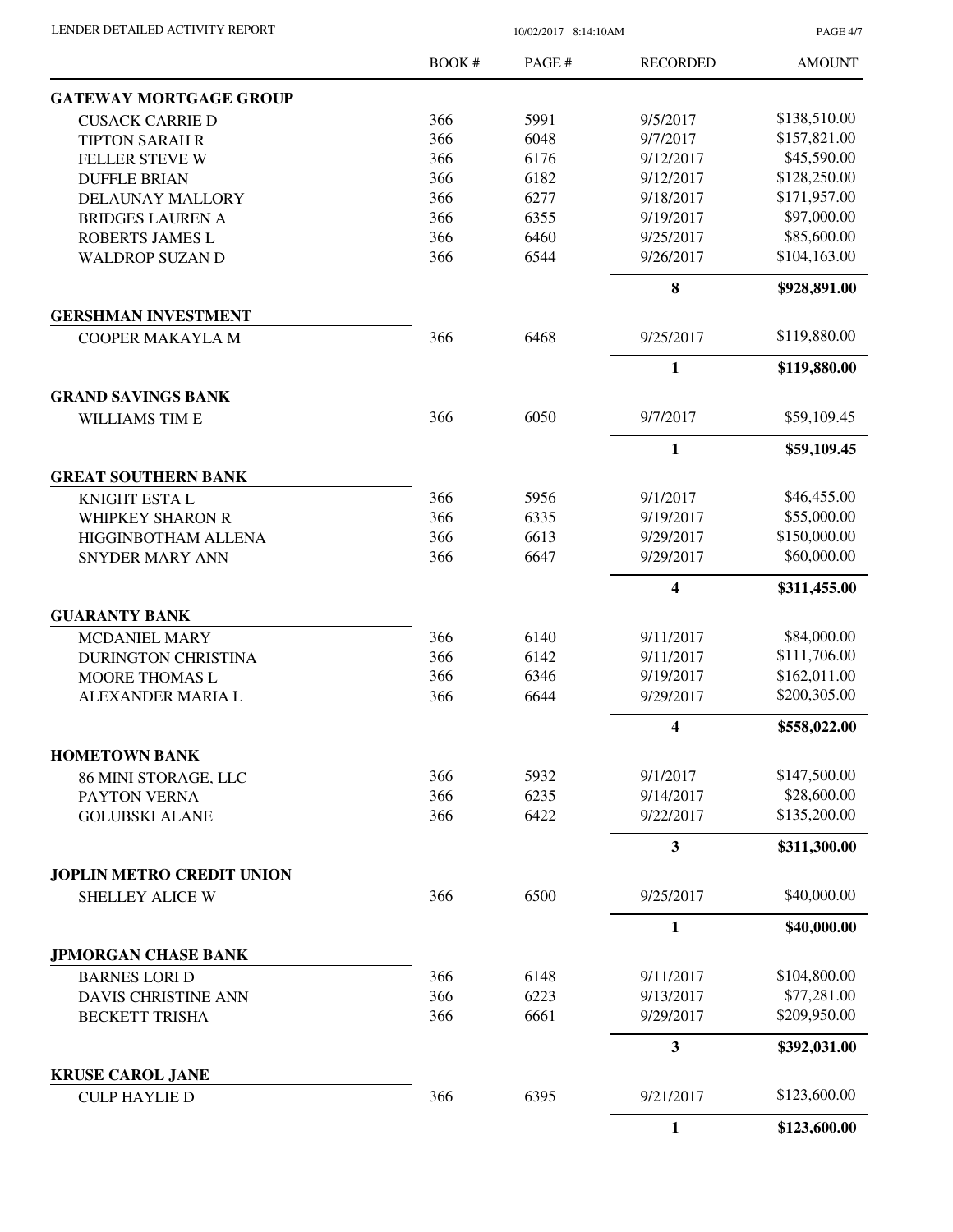PAGE 4/7

|                                                    | <b>BOOK#</b> | PAGE#        | <b>RECORDED</b>         | <b>AMOUNT</b>               |
|----------------------------------------------------|--------------|--------------|-------------------------|-----------------------------|
| <b>GATEWAY MORTGAGE GROUP</b>                      |              |              |                         |                             |
| <b>CUSACK CARRIE D</b>                             | 366          | 5991         | 9/5/2017                | \$138,510.00                |
| <b>TIPTON SARAH R</b>                              | 366          | 6048         | 9/7/2017                | \$157,821.00                |
| <b>FELLER STEVE W</b>                              | 366          | 6176         | 9/12/2017               | \$45,590.00                 |
| <b>DUFFLE BRIAN</b>                                | 366          | 6182         | 9/12/2017               | \$128,250.00                |
| DELAUNAY MALLORY                                   | 366          | 6277         | 9/18/2017               | \$171,957.00                |
| <b>BRIDGES LAUREN A</b>                            | 366          | 6355         | 9/19/2017               | \$97,000.00                 |
| ROBERTS JAMES L                                    | 366          | 6460         | 9/25/2017               | \$85,600.00                 |
| <b>WALDROP SUZAN D</b>                             | 366          | 6544         | 9/26/2017               | \$104,163.00                |
|                                                    |              |              | $\bf{8}$                | \$928,891.00                |
| <b>GERSHMAN INVESTMENT</b>                         |              |              |                         |                             |
| <b>COOPER MAKAYLA M</b>                            | 366          | 6468         | 9/25/2017               | \$119,880.00                |
|                                                    |              |              | $\mathbf{1}$            | \$119,880.00                |
| <b>GRAND SAVINGS BANK</b><br><b>WILLIAMS TIM E</b> | 366          | 6050         | 9/7/2017                | \$59,109.45                 |
|                                                    |              |              | $\mathbf{1}$            | \$59,109.45                 |
| <b>GREAT SOUTHERN BANK</b>                         |              |              |                         |                             |
| KNIGHT ESTA L                                      | 366          | 5956         | 9/1/2017                | \$46,455.00                 |
| <b>WHIPKEY SHARON R</b>                            | 366          | 6335         | 9/19/2017               | \$55,000.00                 |
| HIGGINBOTHAM ALLENA                                | 366          | 6613         | 9/29/2017               | \$150,000.00                |
| <b>SNYDER MARY ANN</b>                             | 366          | 6647         | 9/29/2017               | \$60,000.00                 |
|                                                    |              |              | $\overline{\mathbf{4}}$ | \$311,455.00                |
| <b>GUARANTY BANK</b>                               |              |              |                         |                             |
| <b>MCDANIEL MARY</b>                               | 366          | 6140         | 9/11/2017               | \$84,000.00                 |
| <b>DURINGTON CHRISTINA</b>                         | 366          | 6142         | 9/11/2017               | \$111,706.00                |
| <b>MOORE THOMAS L</b>                              | 366          | 6346         | 9/19/2017               | \$162,011.00                |
| ALEXANDER MARIA L                                  | 366          | 6644         | 9/29/2017               | \$200,305.00                |
|                                                    |              |              | $\overline{\mathbf{4}}$ | \$558,022.00                |
| <b>HOMETOWN BANK</b>                               |              |              |                         |                             |
| 86 MINI STORAGE, LLC                               | 366          | 5932         | 9/1/2017                | \$147,500.00<br>\$28,600.00 |
| PAYTON VERNA<br><b>GOLUBSKI ALANE</b>              | 366<br>366   | 6235<br>6422 | 9/14/2017<br>9/22/2017  | \$135,200.00                |
|                                                    |              |              | 3                       | \$311,300.00                |
| <b>JOPLIN METRO CREDIT UNION</b>                   |              |              |                         |                             |
| SHELLEY ALICE W                                    | 366          | 6500         | 9/25/2017               | \$40,000.00                 |
|                                                    |              |              | $\mathbf{1}$            | \$40,000.00                 |
| <b>JPMORGAN CHASE BANK</b>                         |              |              |                         |                             |
| <b>BARNES LORI D</b>                               | 366          | 6148         | 9/11/2017               | \$104,800.00                |
| DAVIS CHRISTINE ANN                                | 366          | 6223         | 9/13/2017               | \$77,281.00                 |
| <b>BECKETT TRISHA</b>                              | 366          | 6661         | 9/29/2017               | \$209,950.00                |
|                                                    |              |              | 3                       | \$392,031.00                |
| <b>KRUSE CAROL JANE</b>                            |              |              |                         | \$123,600.00                |
| <b>CULP HAYLIE D</b>                               | 366          | 6395         | 9/21/2017               |                             |
|                                                    |              |              | $\mathbf{1}$            | \$123,600.00                |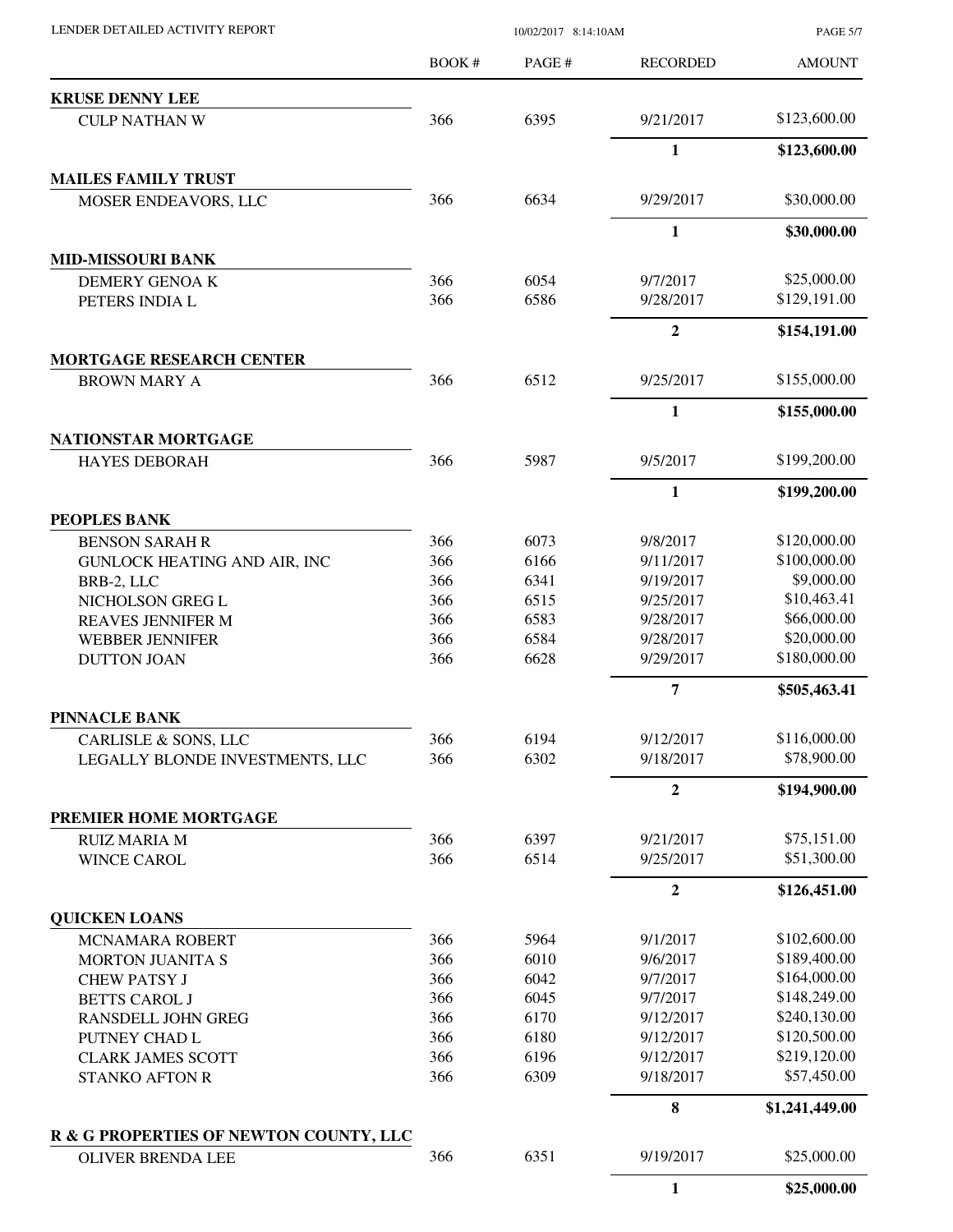| LENDER DETAILED ACTIVITY REPORT                    | 10/02/2017 8:14:10AM |              |                        | <b>PAGE 5/7</b>            |
|----------------------------------------------------|----------------------|--------------|------------------------|----------------------------|
|                                                    | <b>BOOK#</b>         | PAGE#        | <b>RECORDED</b>        | <b>AMOUNT</b>              |
| <b>KRUSE DENNY LEE</b>                             |                      |              |                        |                            |
| <b>CULP NATHAN W</b>                               | 366                  | 6395         | 9/21/2017              | \$123,600.00               |
|                                                    |                      |              | $\mathbf{1}$           | \$123,600.00               |
| <b>MAILES FAMILY TRUST</b>                         |                      |              |                        |                            |
| MOSER ENDEAVORS, LLC                               | 366                  | 6634         | 9/29/2017              | \$30,000.00                |
|                                                    |                      |              | 1                      | \$30,000.00                |
| <b>MID-MISSOURI BANK</b><br>DEMERY GENOAK          | 366                  | 6054         | 9/7/2017               | \$25,000.00                |
| PETERS INDIA L                                     | 366                  | 6586         | 9/28/2017              | \$129,191.00               |
|                                                    |                      |              | $\boldsymbol{2}$       | \$154,191.00               |
| <b>MORTGAGE RESEARCH CENTER</b>                    |                      |              |                        |                            |
| <b>BROWN MARY A</b>                                | 366                  | 6512         | 9/25/2017              | \$155,000.00               |
|                                                    |                      |              | $\mathbf{1}$           | \$155,000.00               |
| <b>NATIONSTAR MORTGAGE</b><br><b>HAYES DEBORAH</b> | 366                  | 5987         | 9/5/2017               | \$199,200.00               |
|                                                    |                      |              |                        |                            |
|                                                    |                      |              | 1                      | \$199,200.00               |
| PEOPLES BANK<br><b>BENSON SARAH R</b>              | 366                  | 6073         | 9/8/2017               | \$120,000.00               |
| <b>GUNLOCK HEATING AND AIR, INC</b>                | 366                  | 6166         | 9/11/2017              | \$100,000.00               |
| BRB-2, LLC                                         | 366                  | 6341         | 9/19/2017              | \$9,000.00                 |
| NICHOLSON GREG L                                   | 366                  | 6515         | 9/25/2017              | \$10,463.41                |
| REAVES JENNIFER M                                  | 366                  | 6583         | 9/28/2017              | \$66,000.00                |
| <b>WEBBER JENNIFER</b>                             | 366                  | 6584         | 9/28/2017              | \$20,000.00                |
| <b>DUTTON JOAN</b>                                 | 366                  | 6628         | 9/29/2017              | \$180,000.00               |
|                                                    |                      |              | 7                      | \$505,463.41               |
| PINNACLE BANK                                      |                      |              |                        |                            |
| CARLISLE & SONS, LLC                               | 366                  | 6194         | 9/12/2017              | \$116,000.00               |
| LEGALLY BLONDE INVESTMENTS, LLC                    | 366                  | 6302         | 9/18/2017              | \$78,900.00                |
|                                                    |                      |              | $\overline{2}$         | \$194,900.00               |
| PREMIER HOME MORTGAGE                              |                      |              |                        |                            |
| <b>RUIZ MARIA M</b><br><b>WINCE CAROL</b>          | 366<br>366           | 6397<br>6514 | 9/21/2017<br>9/25/2017 | \$75,151.00<br>\$51,300.00 |
|                                                    |                      |              | $\overline{2}$         | \$126,451.00               |
| <b>QUICKEN LOANS</b>                               |                      |              |                        |                            |
| MCNAMARA ROBERT                                    | 366                  | 5964         | 9/1/2017               | \$102,600.00               |
| <b>MORTON JUANITA S</b>                            | 366                  | 6010         | 9/6/2017               | \$189,400.00               |
| <b>CHEW PATSY J</b>                                | 366                  | 6042         | 9/7/2017               | \$164,000.00               |
| <b>BETTS CAROL J</b>                               | 366                  | 6045         | 9/7/2017               | \$148,249.00               |
| <b>RANSDELL JOHN GREG</b>                          | 366                  | 6170         | 9/12/2017              | \$240,130.00               |
| PUTNEY CHAD L                                      | 366                  | 6180         | 9/12/2017              | \$120,500.00               |
| <b>CLARK JAMES SCOTT</b>                           | 366                  | 6196         | 9/12/2017              | \$219,120.00               |
| <b>STANKO AFTON R</b>                              | 366                  | 6309         | 9/18/2017              | \$57,450.00                |
|                                                    |                      |              | 8                      | \$1,241,449.00             |
| R & G PROPERTIES OF NEWTON COUNTY, LLC             |                      |              |                        |                            |
| <b>OLIVER BRENDA LEE</b>                           | 366                  | 6351         | 9/19/2017              | \$25,000.00                |
|                                                    |                      |              | $\mathbf{1}$           | \$25,000.00                |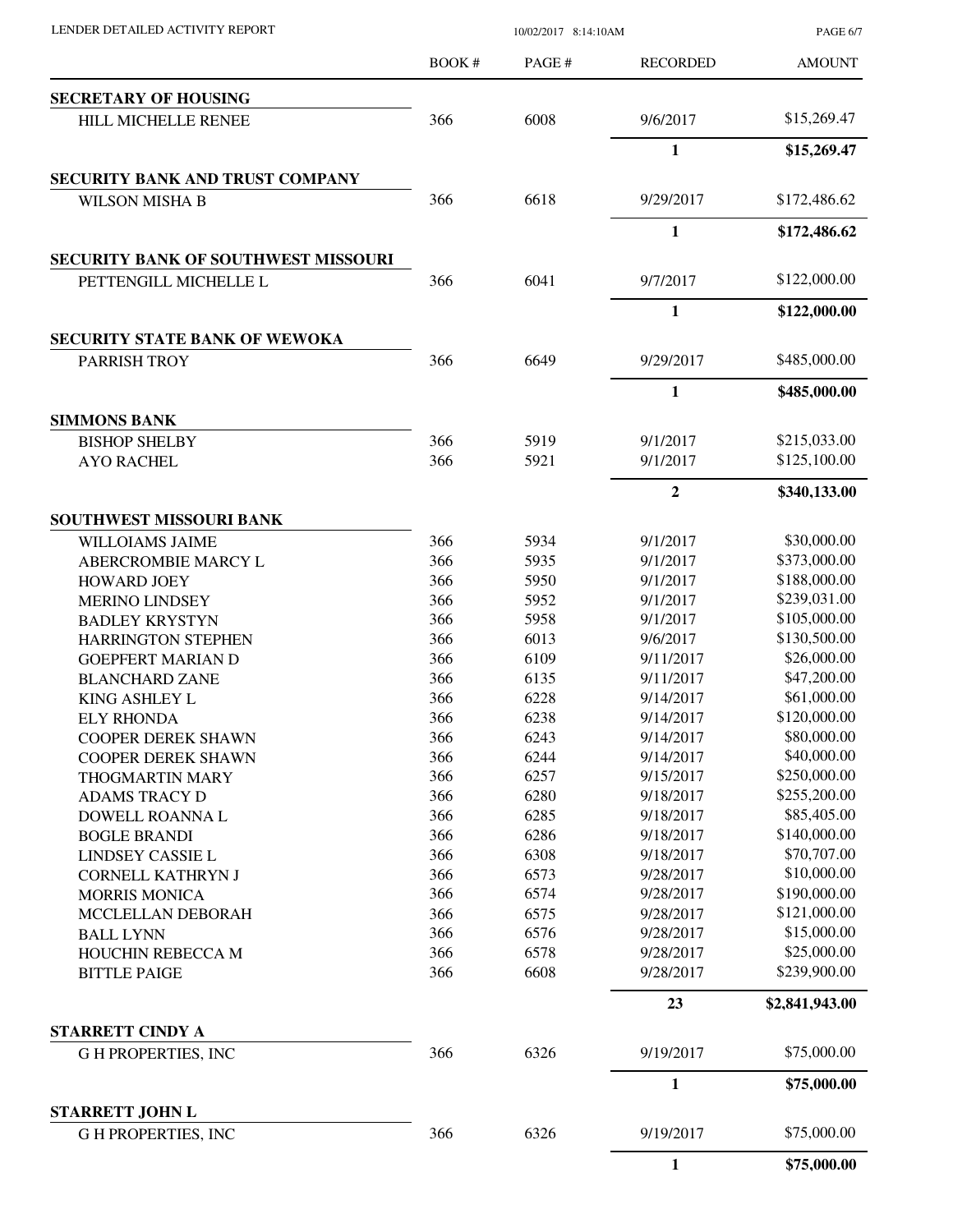| LENDER DETAILED ACTIVITY REPORT |  |
|---------------------------------|--|

10/02/2017 8:14:10AM

PAGE 6/7

| <b>SECRETARY OF HOUSING</b><br>\$15,269.47<br>366<br>6008<br>9/6/2017<br>HILL MICHELLE RENEE<br>$\mathbf{1}$<br>\$15,269.47<br>SECURITY BANK AND TRUST COMPANY<br>366<br>6618<br>\$172,486.62<br>9/29/2017<br><b>WILSON MISHA B</b><br>$\mathbf{1}$<br>\$172,486.62<br><b>SECURITY BANK OF SOUTHWEST MISSOURI</b><br>\$122,000.00<br>366<br>6041<br>9/7/2017<br>PETTENGILL MICHELLE L<br>1<br>\$122,000.00<br><b>SECURITY STATE BANK OF WEWOKA</b><br>\$485,000.00<br>6649<br>9/29/2017<br>PARRISH TROY<br>366<br>$\mathbf{1}$<br>\$485,000.00<br><b>SIMMONS BANK</b><br>366<br>5919<br>\$215,033.00<br><b>BISHOP SHELBY</b><br>9/1/2017<br>\$125,100.00<br>366<br>5921<br>9/1/2017<br><b>AYO RACHEL</b><br>$\overline{2}$<br>\$340,133.00<br>SOUTHWEST MISSOURI BANK<br>\$30,000.00<br>366<br>5934<br>9/1/2017<br><b>WILLOIAMS JAIME</b><br>366<br>\$373,000.00<br>5935<br>ABERCROMBIE MARCY L<br>9/1/2017<br>366<br>5950<br>\$188,000.00<br>9/1/2017<br><b>HOWARD JOEY</b><br>366<br>\$239,031.00<br>5952<br>9/1/2017<br><b>MERINO LINDSEY</b><br>366<br>\$105,000.00<br>5958<br>9/1/2017<br><b>BADLEY KRYSTYN</b><br>\$130,500.00<br>366<br>6013<br>9/6/2017<br><b>HARRINGTON STEPHEN</b><br>\$26,000.00<br>366<br>6109<br>9/11/2017<br><b>GOEPFERT MARIAN D</b><br>\$47,200.00<br>366<br>6135<br>9/11/2017<br><b>BLANCHARD ZANE</b><br>\$61,000.00<br>366<br>6228<br>9/14/2017<br>KING ASHLEY L<br>\$120,000.00<br>366<br>6238<br>9/14/2017<br><b>ELY RHONDA</b><br>366<br>\$80,000.00<br>6243<br>9/14/2017<br>COOPER DEREK SHAWN<br>\$40,000.00<br>366<br>6244<br>9/14/2017<br><b>COOPER DEREK SHAWN</b><br>366<br>\$250,000.00<br>6257<br>9/15/2017<br><b>THOGMARTIN MARY</b><br>\$255,200.00<br>366<br>6280<br>9/18/2017<br><b>ADAMS TRACY D</b><br>366<br>\$85,405.00<br>6285<br>9/18/2017<br>DOWELL ROANNA L<br>\$140,000.00<br>366<br>6286<br>9/18/2017<br><b>BOGLE BRANDI</b><br>\$70,707.00<br>366<br>6308<br>9/18/2017<br>LINDSEY CASSIE L<br>\$10,000.00<br>366<br>6573<br>9/28/2017<br><b>CORNELL KATHRYN J</b><br>\$190,000.00<br>366<br>6574<br>9/28/2017<br><b>MORRIS MONICA</b><br>\$121,000.00<br>366<br>6575<br>9/28/2017<br>MCCLELLAN DEBORAH<br>\$15,000.00<br>366<br>6576<br>9/28/2017<br><b>BALL LYNN</b><br>\$25,000.00<br>366<br>6578<br>9/28/2017<br>HOUCHIN REBECCA M<br>366<br>\$239,900.00<br>6608<br>9/28/2017<br><b>BITTLE PAIGE</b><br>23<br>\$2,841,943.00<br><b>STARRETT CINDY A</b><br>\$75,000.00<br>366<br>6326<br>9/19/2017<br><b>GH PROPERTIES, INC</b><br>1<br>\$75,000.00<br>STARRETT JOHN L<br>\$75,000.00<br>366<br>6326<br>9/19/2017<br><b>GH PROPERTIES, INC</b><br>1 | BOOK# | PAGE# | <b>RECORDED</b> | <b>AMOUNT</b> |
|----------------------------------------------------------------------------------------------------------------------------------------------------------------------------------------------------------------------------------------------------------------------------------------------------------------------------------------------------------------------------------------------------------------------------------------------------------------------------------------------------------------------------------------------------------------------------------------------------------------------------------------------------------------------------------------------------------------------------------------------------------------------------------------------------------------------------------------------------------------------------------------------------------------------------------------------------------------------------------------------------------------------------------------------------------------------------------------------------------------------------------------------------------------------------------------------------------------------------------------------------------------------------------------------------------------------------------------------------------------------------------------------------------------------------------------------------------------------------------------------------------------------------------------------------------------------------------------------------------------------------------------------------------------------------------------------------------------------------------------------------------------------------------------------------------------------------------------------------------------------------------------------------------------------------------------------------------------------------------------------------------------------------------------------------------------------------------------------------------------------------------------------------------------------------------------------------------------------------------------------------------------------------------------------------------------------------------------------------------------------------------------------------------------------------------------------------------------------------------------------------------------------------------------------------------------------------------------------------------------------|-------|-------|-----------------|---------------|
|                                                                                                                                                                                                                                                                                                                                                                                                                                                                                                                                                                                                                                                                                                                                                                                                                                                                                                                                                                                                                                                                                                                                                                                                                                                                                                                                                                                                                                                                                                                                                                                                                                                                                                                                                                                                                                                                                                                                                                                                                                                                                                                                                                                                                                                                                                                                                                                                                                                                                                                                                                                                                      |       |       |                 |               |
|                                                                                                                                                                                                                                                                                                                                                                                                                                                                                                                                                                                                                                                                                                                                                                                                                                                                                                                                                                                                                                                                                                                                                                                                                                                                                                                                                                                                                                                                                                                                                                                                                                                                                                                                                                                                                                                                                                                                                                                                                                                                                                                                                                                                                                                                                                                                                                                                                                                                                                                                                                                                                      |       |       |                 |               |
|                                                                                                                                                                                                                                                                                                                                                                                                                                                                                                                                                                                                                                                                                                                                                                                                                                                                                                                                                                                                                                                                                                                                                                                                                                                                                                                                                                                                                                                                                                                                                                                                                                                                                                                                                                                                                                                                                                                                                                                                                                                                                                                                                                                                                                                                                                                                                                                                                                                                                                                                                                                                                      |       |       |                 |               |
|                                                                                                                                                                                                                                                                                                                                                                                                                                                                                                                                                                                                                                                                                                                                                                                                                                                                                                                                                                                                                                                                                                                                                                                                                                                                                                                                                                                                                                                                                                                                                                                                                                                                                                                                                                                                                                                                                                                                                                                                                                                                                                                                                                                                                                                                                                                                                                                                                                                                                                                                                                                                                      |       |       |                 |               |
|                                                                                                                                                                                                                                                                                                                                                                                                                                                                                                                                                                                                                                                                                                                                                                                                                                                                                                                                                                                                                                                                                                                                                                                                                                                                                                                                                                                                                                                                                                                                                                                                                                                                                                                                                                                                                                                                                                                                                                                                                                                                                                                                                                                                                                                                                                                                                                                                                                                                                                                                                                                                                      |       |       |                 |               |
|                                                                                                                                                                                                                                                                                                                                                                                                                                                                                                                                                                                                                                                                                                                                                                                                                                                                                                                                                                                                                                                                                                                                                                                                                                                                                                                                                                                                                                                                                                                                                                                                                                                                                                                                                                                                                                                                                                                                                                                                                                                                                                                                                                                                                                                                                                                                                                                                                                                                                                                                                                                                                      |       |       |                 |               |
|                                                                                                                                                                                                                                                                                                                                                                                                                                                                                                                                                                                                                                                                                                                                                                                                                                                                                                                                                                                                                                                                                                                                                                                                                                                                                                                                                                                                                                                                                                                                                                                                                                                                                                                                                                                                                                                                                                                                                                                                                                                                                                                                                                                                                                                                                                                                                                                                                                                                                                                                                                                                                      |       |       |                 |               |
|                                                                                                                                                                                                                                                                                                                                                                                                                                                                                                                                                                                                                                                                                                                                                                                                                                                                                                                                                                                                                                                                                                                                                                                                                                                                                                                                                                                                                                                                                                                                                                                                                                                                                                                                                                                                                                                                                                                                                                                                                                                                                                                                                                                                                                                                                                                                                                                                                                                                                                                                                                                                                      |       |       |                 |               |
|                                                                                                                                                                                                                                                                                                                                                                                                                                                                                                                                                                                                                                                                                                                                                                                                                                                                                                                                                                                                                                                                                                                                                                                                                                                                                                                                                                                                                                                                                                                                                                                                                                                                                                                                                                                                                                                                                                                                                                                                                                                                                                                                                                                                                                                                                                                                                                                                                                                                                                                                                                                                                      |       |       |                 |               |
|                                                                                                                                                                                                                                                                                                                                                                                                                                                                                                                                                                                                                                                                                                                                                                                                                                                                                                                                                                                                                                                                                                                                                                                                                                                                                                                                                                                                                                                                                                                                                                                                                                                                                                                                                                                                                                                                                                                                                                                                                                                                                                                                                                                                                                                                                                                                                                                                                                                                                                                                                                                                                      |       |       |                 |               |
|                                                                                                                                                                                                                                                                                                                                                                                                                                                                                                                                                                                                                                                                                                                                                                                                                                                                                                                                                                                                                                                                                                                                                                                                                                                                                                                                                                                                                                                                                                                                                                                                                                                                                                                                                                                                                                                                                                                                                                                                                                                                                                                                                                                                                                                                                                                                                                                                                                                                                                                                                                                                                      |       |       |                 |               |
|                                                                                                                                                                                                                                                                                                                                                                                                                                                                                                                                                                                                                                                                                                                                                                                                                                                                                                                                                                                                                                                                                                                                                                                                                                                                                                                                                                                                                                                                                                                                                                                                                                                                                                                                                                                                                                                                                                                                                                                                                                                                                                                                                                                                                                                                                                                                                                                                                                                                                                                                                                                                                      |       |       |                 |               |
|                                                                                                                                                                                                                                                                                                                                                                                                                                                                                                                                                                                                                                                                                                                                                                                                                                                                                                                                                                                                                                                                                                                                                                                                                                                                                                                                                                                                                                                                                                                                                                                                                                                                                                                                                                                                                                                                                                                                                                                                                                                                                                                                                                                                                                                                                                                                                                                                                                                                                                                                                                                                                      |       |       |                 |               |
|                                                                                                                                                                                                                                                                                                                                                                                                                                                                                                                                                                                                                                                                                                                                                                                                                                                                                                                                                                                                                                                                                                                                                                                                                                                                                                                                                                                                                                                                                                                                                                                                                                                                                                                                                                                                                                                                                                                                                                                                                                                                                                                                                                                                                                                                                                                                                                                                                                                                                                                                                                                                                      |       |       |                 |               |
|                                                                                                                                                                                                                                                                                                                                                                                                                                                                                                                                                                                                                                                                                                                                                                                                                                                                                                                                                                                                                                                                                                                                                                                                                                                                                                                                                                                                                                                                                                                                                                                                                                                                                                                                                                                                                                                                                                                                                                                                                                                                                                                                                                                                                                                                                                                                                                                                                                                                                                                                                                                                                      |       |       |                 |               |
|                                                                                                                                                                                                                                                                                                                                                                                                                                                                                                                                                                                                                                                                                                                                                                                                                                                                                                                                                                                                                                                                                                                                                                                                                                                                                                                                                                                                                                                                                                                                                                                                                                                                                                                                                                                                                                                                                                                                                                                                                                                                                                                                                                                                                                                                                                                                                                                                                                                                                                                                                                                                                      |       |       |                 |               |
|                                                                                                                                                                                                                                                                                                                                                                                                                                                                                                                                                                                                                                                                                                                                                                                                                                                                                                                                                                                                                                                                                                                                                                                                                                                                                                                                                                                                                                                                                                                                                                                                                                                                                                                                                                                                                                                                                                                                                                                                                                                                                                                                                                                                                                                                                                                                                                                                                                                                                                                                                                                                                      |       |       |                 |               |
|                                                                                                                                                                                                                                                                                                                                                                                                                                                                                                                                                                                                                                                                                                                                                                                                                                                                                                                                                                                                                                                                                                                                                                                                                                                                                                                                                                                                                                                                                                                                                                                                                                                                                                                                                                                                                                                                                                                                                                                                                                                                                                                                                                                                                                                                                                                                                                                                                                                                                                                                                                                                                      |       |       |                 |               |
|                                                                                                                                                                                                                                                                                                                                                                                                                                                                                                                                                                                                                                                                                                                                                                                                                                                                                                                                                                                                                                                                                                                                                                                                                                                                                                                                                                                                                                                                                                                                                                                                                                                                                                                                                                                                                                                                                                                                                                                                                                                                                                                                                                                                                                                                                                                                                                                                                                                                                                                                                                                                                      |       |       |                 |               |
|                                                                                                                                                                                                                                                                                                                                                                                                                                                                                                                                                                                                                                                                                                                                                                                                                                                                                                                                                                                                                                                                                                                                                                                                                                                                                                                                                                                                                                                                                                                                                                                                                                                                                                                                                                                                                                                                                                                                                                                                                                                                                                                                                                                                                                                                                                                                                                                                                                                                                                                                                                                                                      |       |       |                 |               |
|                                                                                                                                                                                                                                                                                                                                                                                                                                                                                                                                                                                                                                                                                                                                                                                                                                                                                                                                                                                                                                                                                                                                                                                                                                                                                                                                                                                                                                                                                                                                                                                                                                                                                                                                                                                                                                                                                                                                                                                                                                                                                                                                                                                                                                                                                                                                                                                                                                                                                                                                                                                                                      |       |       |                 |               |
|                                                                                                                                                                                                                                                                                                                                                                                                                                                                                                                                                                                                                                                                                                                                                                                                                                                                                                                                                                                                                                                                                                                                                                                                                                                                                                                                                                                                                                                                                                                                                                                                                                                                                                                                                                                                                                                                                                                                                                                                                                                                                                                                                                                                                                                                                                                                                                                                                                                                                                                                                                                                                      |       |       |                 |               |
|                                                                                                                                                                                                                                                                                                                                                                                                                                                                                                                                                                                                                                                                                                                                                                                                                                                                                                                                                                                                                                                                                                                                                                                                                                                                                                                                                                                                                                                                                                                                                                                                                                                                                                                                                                                                                                                                                                                                                                                                                                                                                                                                                                                                                                                                                                                                                                                                                                                                                                                                                                                                                      |       |       |                 |               |
|                                                                                                                                                                                                                                                                                                                                                                                                                                                                                                                                                                                                                                                                                                                                                                                                                                                                                                                                                                                                                                                                                                                                                                                                                                                                                                                                                                                                                                                                                                                                                                                                                                                                                                                                                                                                                                                                                                                                                                                                                                                                                                                                                                                                                                                                                                                                                                                                                                                                                                                                                                                                                      |       |       |                 |               |
|                                                                                                                                                                                                                                                                                                                                                                                                                                                                                                                                                                                                                                                                                                                                                                                                                                                                                                                                                                                                                                                                                                                                                                                                                                                                                                                                                                                                                                                                                                                                                                                                                                                                                                                                                                                                                                                                                                                                                                                                                                                                                                                                                                                                                                                                                                                                                                                                                                                                                                                                                                                                                      |       |       |                 |               |
|                                                                                                                                                                                                                                                                                                                                                                                                                                                                                                                                                                                                                                                                                                                                                                                                                                                                                                                                                                                                                                                                                                                                                                                                                                                                                                                                                                                                                                                                                                                                                                                                                                                                                                                                                                                                                                                                                                                                                                                                                                                                                                                                                                                                                                                                                                                                                                                                                                                                                                                                                                                                                      |       |       |                 |               |
|                                                                                                                                                                                                                                                                                                                                                                                                                                                                                                                                                                                                                                                                                                                                                                                                                                                                                                                                                                                                                                                                                                                                                                                                                                                                                                                                                                                                                                                                                                                                                                                                                                                                                                                                                                                                                                                                                                                                                                                                                                                                                                                                                                                                                                                                                                                                                                                                                                                                                                                                                                                                                      |       |       |                 |               |
|                                                                                                                                                                                                                                                                                                                                                                                                                                                                                                                                                                                                                                                                                                                                                                                                                                                                                                                                                                                                                                                                                                                                                                                                                                                                                                                                                                                                                                                                                                                                                                                                                                                                                                                                                                                                                                                                                                                                                                                                                                                                                                                                                                                                                                                                                                                                                                                                                                                                                                                                                                                                                      |       |       |                 |               |
|                                                                                                                                                                                                                                                                                                                                                                                                                                                                                                                                                                                                                                                                                                                                                                                                                                                                                                                                                                                                                                                                                                                                                                                                                                                                                                                                                                                                                                                                                                                                                                                                                                                                                                                                                                                                                                                                                                                                                                                                                                                                                                                                                                                                                                                                                                                                                                                                                                                                                                                                                                                                                      |       |       |                 |               |
|                                                                                                                                                                                                                                                                                                                                                                                                                                                                                                                                                                                                                                                                                                                                                                                                                                                                                                                                                                                                                                                                                                                                                                                                                                                                                                                                                                                                                                                                                                                                                                                                                                                                                                                                                                                                                                                                                                                                                                                                                                                                                                                                                                                                                                                                                                                                                                                                                                                                                                                                                                                                                      |       |       |                 |               |
|                                                                                                                                                                                                                                                                                                                                                                                                                                                                                                                                                                                                                                                                                                                                                                                                                                                                                                                                                                                                                                                                                                                                                                                                                                                                                                                                                                                                                                                                                                                                                                                                                                                                                                                                                                                                                                                                                                                                                                                                                                                                                                                                                                                                                                                                                                                                                                                                                                                                                                                                                                                                                      |       |       |                 |               |
|                                                                                                                                                                                                                                                                                                                                                                                                                                                                                                                                                                                                                                                                                                                                                                                                                                                                                                                                                                                                                                                                                                                                                                                                                                                                                                                                                                                                                                                                                                                                                                                                                                                                                                                                                                                                                                                                                                                                                                                                                                                                                                                                                                                                                                                                                                                                                                                                                                                                                                                                                                                                                      |       |       |                 |               |
|                                                                                                                                                                                                                                                                                                                                                                                                                                                                                                                                                                                                                                                                                                                                                                                                                                                                                                                                                                                                                                                                                                                                                                                                                                                                                                                                                                                                                                                                                                                                                                                                                                                                                                                                                                                                                                                                                                                                                                                                                                                                                                                                                                                                                                                                                                                                                                                                                                                                                                                                                                                                                      |       |       |                 |               |
|                                                                                                                                                                                                                                                                                                                                                                                                                                                                                                                                                                                                                                                                                                                                                                                                                                                                                                                                                                                                                                                                                                                                                                                                                                                                                                                                                                                                                                                                                                                                                                                                                                                                                                                                                                                                                                                                                                                                                                                                                                                                                                                                                                                                                                                                                                                                                                                                                                                                                                                                                                                                                      |       |       |                 |               |
|                                                                                                                                                                                                                                                                                                                                                                                                                                                                                                                                                                                                                                                                                                                                                                                                                                                                                                                                                                                                                                                                                                                                                                                                                                                                                                                                                                                                                                                                                                                                                                                                                                                                                                                                                                                                                                                                                                                                                                                                                                                                                                                                                                                                                                                                                                                                                                                                                                                                                                                                                                                                                      |       |       |                 |               |
|                                                                                                                                                                                                                                                                                                                                                                                                                                                                                                                                                                                                                                                                                                                                                                                                                                                                                                                                                                                                                                                                                                                                                                                                                                                                                                                                                                                                                                                                                                                                                                                                                                                                                                                                                                                                                                                                                                                                                                                                                                                                                                                                                                                                                                                                                                                                                                                                                                                                                                                                                                                                                      |       |       |                 |               |
|                                                                                                                                                                                                                                                                                                                                                                                                                                                                                                                                                                                                                                                                                                                                                                                                                                                                                                                                                                                                                                                                                                                                                                                                                                                                                                                                                                                                                                                                                                                                                                                                                                                                                                                                                                                                                                                                                                                                                                                                                                                                                                                                                                                                                                                                                                                                                                                                                                                                                                                                                                                                                      |       |       |                 |               |
|                                                                                                                                                                                                                                                                                                                                                                                                                                                                                                                                                                                                                                                                                                                                                                                                                                                                                                                                                                                                                                                                                                                                                                                                                                                                                                                                                                                                                                                                                                                                                                                                                                                                                                                                                                                                                                                                                                                                                                                                                                                                                                                                                                                                                                                                                                                                                                                                                                                                                                                                                                                                                      |       |       |                 |               |
|                                                                                                                                                                                                                                                                                                                                                                                                                                                                                                                                                                                                                                                                                                                                                                                                                                                                                                                                                                                                                                                                                                                                                                                                                                                                                                                                                                                                                                                                                                                                                                                                                                                                                                                                                                                                                                                                                                                                                                                                                                                                                                                                                                                                                                                                                                                                                                                                                                                                                                                                                                                                                      |       |       |                 |               |
|                                                                                                                                                                                                                                                                                                                                                                                                                                                                                                                                                                                                                                                                                                                                                                                                                                                                                                                                                                                                                                                                                                                                                                                                                                                                                                                                                                                                                                                                                                                                                                                                                                                                                                                                                                                                                                                                                                                                                                                                                                                                                                                                                                                                                                                                                                                                                                                                                                                                                                                                                                                                                      |       |       |                 |               |
|                                                                                                                                                                                                                                                                                                                                                                                                                                                                                                                                                                                                                                                                                                                                                                                                                                                                                                                                                                                                                                                                                                                                                                                                                                                                                                                                                                                                                                                                                                                                                                                                                                                                                                                                                                                                                                                                                                                                                                                                                                                                                                                                                                                                                                                                                                                                                                                                                                                                                                                                                                                                                      |       |       |                 |               |
|                                                                                                                                                                                                                                                                                                                                                                                                                                                                                                                                                                                                                                                                                                                                                                                                                                                                                                                                                                                                                                                                                                                                                                                                                                                                                                                                                                                                                                                                                                                                                                                                                                                                                                                                                                                                                                                                                                                                                                                                                                                                                                                                                                                                                                                                                                                                                                                                                                                                                                                                                                                                                      |       |       |                 |               |
|                                                                                                                                                                                                                                                                                                                                                                                                                                                                                                                                                                                                                                                                                                                                                                                                                                                                                                                                                                                                                                                                                                                                                                                                                                                                                                                                                                                                                                                                                                                                                                                                                                                                                                                                                                                                                                                                                                                                                                                                                                                                                                                                                                                                                                                                                                                                                                                                                                                                                                                                                                                                                      |       |       |                 |               |
|                                                                                                                                                                                                                                                                                                                                                                                                                                                                                                                                                                                                                                                                                                                                                                                                                                                                                                                                                                                                                                                                                                                                                                                                                                                                                                                                                                                                                                                                                                                                                                                                                                                                                                                                                                                                                                                                                                                                                                                                                                                                                                                                                                                                                                                                                                                                                                                                                                                                                                                                                                                                                      |       |       |                 |               |
|                                                                                                                                                                                                                                                                                                                                                                                                                                                                                                                                                                                                                                                                                                                                                                                                                                                                                                                                                                                                                                                                                                                                                                                                                                                                                                                                                                                                                                                                                                                                                                                                                                                                                                                                                                                                                                                                                                                                                                                                                                                                                                                                                                                                                                                                                                                                                                                                                                                                                                                                                                                                                      |       |       |                 | \$75,000.00   |